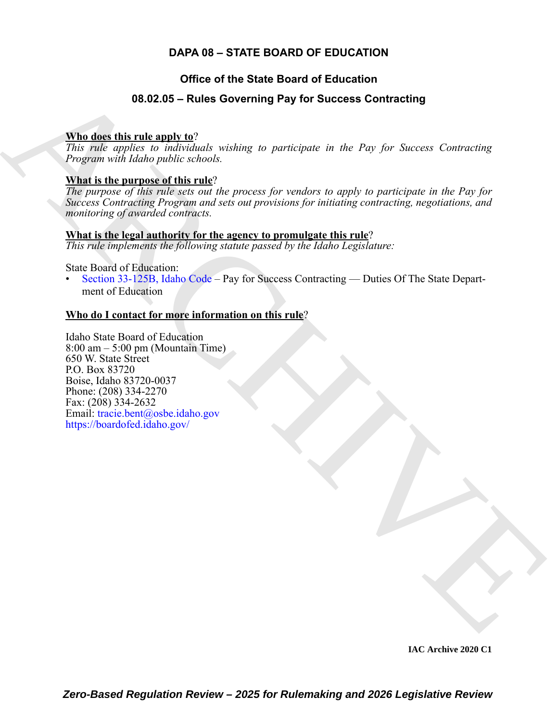# **DAPA 08 – STATE BOARD OF EDUCATION**

# **Office of the State Board of Education**

# **08.02.05 – Rules Governing Pay for Success Contracting**

### **Who does this rule apply to**?

*This rule applies to individuals wishing to participate in the Pay for Success Contracting Program with Idaho public schools.*

### **What is the purpose of this rule**?

*The purpose of this rule sets out the process for vendors to apply to participate in the Pay for Success Contracting Program and sets out provisions for initiating contracting, negotiations, and monitoring of awarded contracts.*

# **What is the legal authority for the agency to promulgate this rule**?

*This rule implements the following statute passed by the Idaho Legislature:*

State Board of Education:

• Section 33-125B, Idaho Code – Pay for Success Contracting — Duties Of The State Department of Education

## **Who do I contact for more information on this rule**?

<span id="page-0-0"></span>**08.02.05 – Rules Governing Pay for Success Contracting**<br>
This disc this rule and v  $\Omega'$ <br>
This relation multiplier velocity,<br> *Program* with Idale multiplier velocity.<br> **View the contraction**<br> **Program with Rules multipl** Idaho State Board of Education 8:00 am – 5:00 pm (Mountain Time) 650 W. State Street P.O. Box 83720 Boise, Idaho 83720-0037 Phone: (208) 334-2270 Fax: (208) 334-2632 Email: tracie.bent@osbe.idaho.gov https://boardofed.idaho.gov/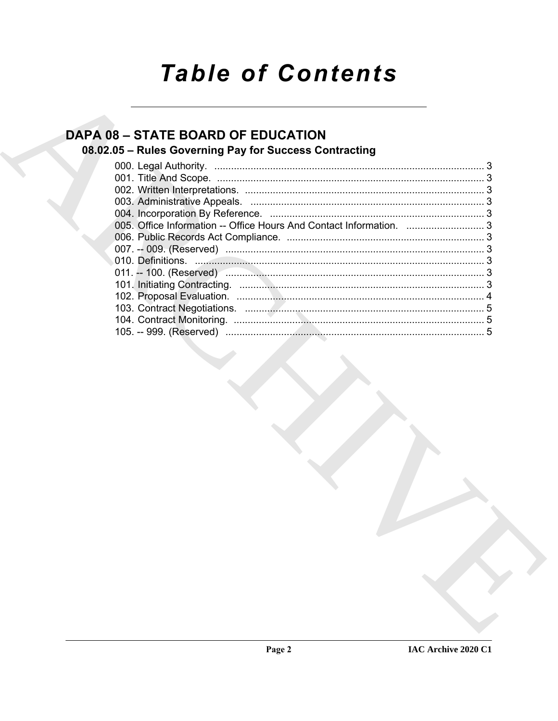# **Table of Contents**

# **DAPA 08 - STATE BOARD OF EDUCATION**

# 08.02.05 - Rules Governing Pay for Success Contracting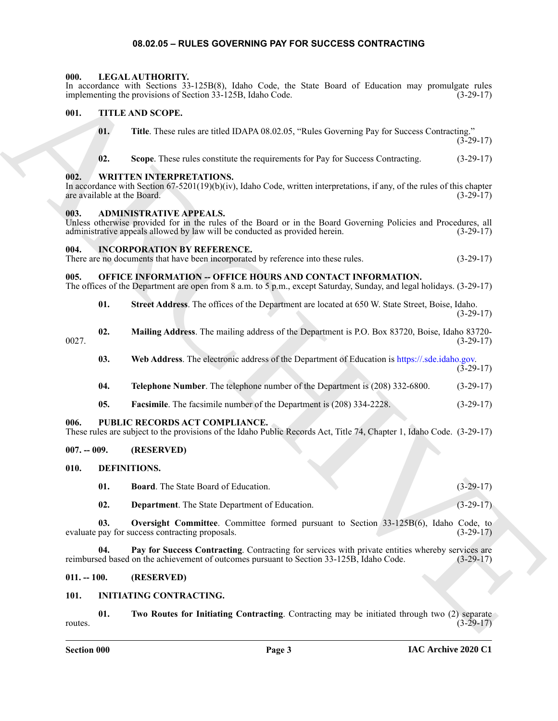#### **08.02.05 – RULES GOVERNING PAY FOR SUCCESS CONTRACTING**

#### <span id="page-2-21"></span><span id="page-2-1"></span><span id="page-2-0"></span>**000. LEGAL AUTHORITY.**

<span id="page-2-25"></span><span id="page-2-24"></span><span id="page-2-12"></span><span id="page-2-4"></span><span id="page-2-3"></span><span id="page-2-2"></span>In accordance with Sections 33-125B(8), Idaho Code, the State Board of Education may promulgate rules implementing the provisions of Section 33-125B, Idaho Code. (3-29-17)

# ARCHIVE **001. TITLE AND SCOPE. 01. Title**. These rules are titled IDAPA 08.02.05, "Rules Governing Pay for Success Contracting."  $(3-29-17)$ **02. Scope**. These rules constitute the requirements for Pay for Success Contracting. (3-29-17) **002. WRITTEN INTERPRETATIONS.** In accordance with Section 67-5201(19)(b)(iv), Idaho Code, written interpretations, if any, of the rules of this chapter are available at the Board.  $(3-29-17)$ are available at the Board. **003. ADMINISTRATIVE APPEALS.** Unless otherwise provided for in the rules of the Board or in the Board Governing Policies and Procedures, all administrative appeals allowed by law will be conducted as provided herein. (3-29-17) **004. INCORPORATION BY REFERENCE.** There are no documents that have been incorporated by reference into these rules. (3-29-17) **005. OFFICE INFORMATION -- OFFICE HOURS AND CONTACT INFORMATION.** The offices of the Department are open from 8 a.m. to 5 p.m., except Saturday, Sunday, and legal holidays. (3-29-17) **01. Street Address**. The offices of the Department are located at 650 W. State Street, Boise, Idaho. (3-29-17) **02. Mailing Address**. The mailing address of the Department is P.O. Box 83720, Boise, Idaho 83720- 0027. (3-29-17)

<span id="page-2-22"></span><span id="page-2-18"></span><span id="page-2-6"></span><span id="page-2-5"></span>

- **03. Web Address**. The electronic address of the Department of Education is https://.sde.idaho.gov. (3-29-17)
- **04. Telephone Number**. The telephone number of the Department is (208) 332-6800. (3-29-17)
- <span id="page-2-23"></span>**05. Facsimile**. The facsimile number of the Department is (208) 334-2228. (3-29-17)

#### <span id="page-2-7"></span>**006. PUBLIC RECORDS ACT COMPLIANCE.**

| These rules are subject to the provisions of the Idaho Public Records Act, Title 74, Chapter 1, Idaho Code. (3-29-17) |  |  |  |
|-----------------------------------------------------------------------------------------------------------------------|--|--|--|
|                                                                                                                       |  |  |  |

#### <span id="page-2-8"></span>**007. -- 009. (RESERVED)**

- <span id="page-2-13"></span><span id="page-2-9"></span>**010. DEFINITIONS.**
	- **01. Board**. The State Board of Education. (3-29-17)

<span id="page-2-17"></span><span id="page-2-16"></span><span id="page-2-15"></span><span id="page-2-14"></span>**02. Department**. The State Department of Education. (3-29-17)

**03. Oversight Committee**. Committee formed pursuant to Section 33-125B(6), Idaho Code, to evaluate pay for success contracting proposals. (3-29-17)

**04. Pay for Success Contracting**. Contracting for services with private entities whereby services are ed based on the achievement of outcomes pursuant to Section 33-125B, Idaho Code. (3-29-17) reimbursed based on the achievement of outcomes pursuant to Section 33-125B, Idaho Code.

#### <span id="page-2-10"></span>**011. -- 100. (RESERVED)**

#### <span id="page-2-19"></span><span id="page-2-11"></span>**101. INITIATING CONTRACTING.**

<span id="page-2-20"></span>**01. Two Routes for Initiating Contracting**. Contracting may be initiated through two (2) separate  $r = (3-29-17)$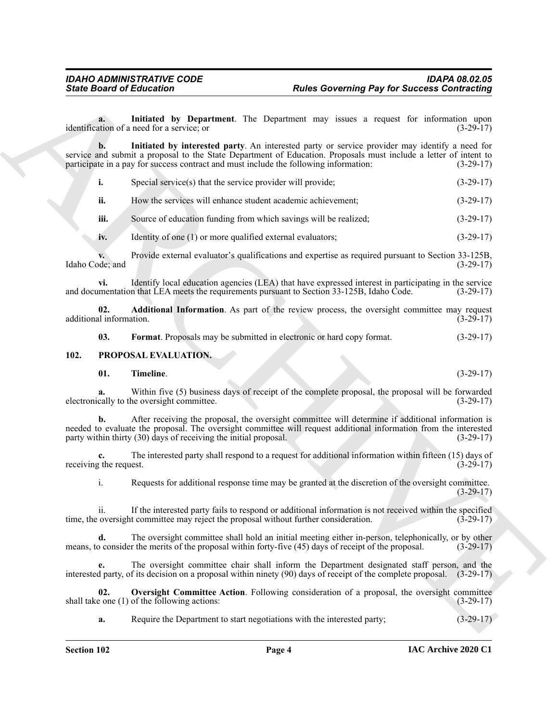<span id="page-3-3"></span>**a.** Initiated by Department. The Department may issues a request for information upon ation of a need for a service; or identification of a need for a service; or

Since Board of Entremotion Computerness. The Particular Convention of the Convention of the Convention of the Convention of the Convention of the Convention of the Convention of the Convention of the Convention of the Con **b. Initiated by interested party**. An interested party or service provider may identify a need for service and submit a proposal to the State Department of Education. Proposals must include a letter of intent to participate in a pay for success contract and must include the following information: (3-29-17) participate in a pay for success contract and must include the following information:

<span id="page-3-4"></span>**i.** Special service(s) that the service provider will provide;  $(3-29-17)$ 

**ii.** How the services will enhance student academic achievement; (3-29-17)

**iii.** Source of education funding from which savings will be realized; (3-29-17)

**iv.** Identity of one (1) or more qualified external evaluators; (3-29-17)

**v.** Provide external evaluator's qualifications and expertise as required pursuant to Section 33-125B, ode; and  $(3-29-17)$ Idaho Code; and

**vi.** Identify local education agencies (LEA) that have expressed interest in participating in the service and documentation that LEA meets the requirements pursuant to Section 33-125B, Idaho Code. (3-29-17)

**02. Additional Information**. As part of the review process, the oversight committee may request il information. (3-29-17) additional information.

<span id="page-3-5"></span><span id="page-3-2"></span><span id="page-3-1"></span>**03. Format**. Proposals may be submitted in electronic or hard copy format. (3-29-17)

#### <span id="page-3-0"></span>**102. PROPOSAL EVALUATION.**

<span id="page-3-7"></span>

| 01. | Timeline.<br>m.<br>$\sim$ $\sim$ $\sim$ $\sim$ $\sim$ $\sim$ |  |  |  |  | $(3-29-17)$ |
|-----|--------------------------------------------------------------|--|--|--|--|-------------|
|-----|--------------------------------------------------------------|--|--|--|--|-------------|

**a.** Within five (5) business days of receipt of the complete proposal, the proposal will be forwarded cally to the oversight committee. (3-29-17) electronically to the oversight committee.

**b.** After receiving the proposal, the oversight committee will determine if additional information is needed to evaluate the proposal. The oversight committee will request additional information from the interested party within thirty (30) days of receiving the initial proposal. (3-29-17)

**c.** The interested party shall respond to a request for additional information within fifteen (15) days of the request. (3-29-17) receiving the request.

i. Requests for additional response time may be granted at the discretion of the oversight committee. (3-29-17)

ii. If the interested party fails to respond or additional information is not received within the specified oversight committee may reject the proposal without further consideration. (3-29-17) time, the oversight committee may reject the proposal without further consideration.

**d.** The oversight committee shall hold an initial meeting either in-person, telephonically, or by other means, to consider the merits of the proposal within forty-five (45) days of receipt of the proposal. (3-29-17)

**e.** The oversight committee chair shall inform the Department designated staff person, and the interested party, of its decision on a proposal within ninety (90) days of receipt of the complete proposal. (3-29-17)

**02.** Oversight Committee Action. Following consideration of a proposal, the oversight committee  $e$  one (1) of the following actions: (3-29-17) shall take one  $(1)$  of the following actions:

<span id="page-3-6"></span>**a.** Require the Department to start negotiations with the interested party;  $(3-29-17)$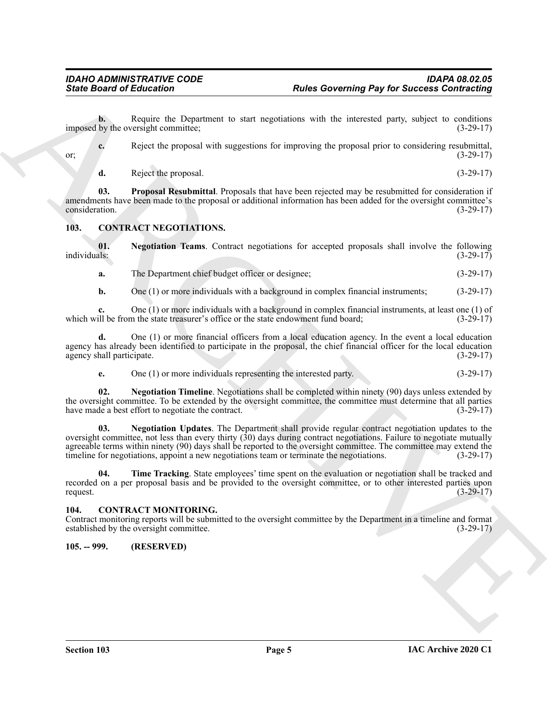**b.** Require the Department to start negotiations with the interested party, subject to conditions by the oversight committee: (3-29-17) imposed by the oversight committee;

| or: |                      | Reject the proposal with suggestions for improving the proposal prior to considering resubmittal, | $(3-29-17)$ |
|-----|----------------------|---------------------------------------------------------------------------------------------------|-------------|
|     | Reject the proposal. |                                                                                                   | $(3-29-17)$ |

<span id="page-4-9"></span>**03. Proposal Resubmittal**. Proposals that have been rejected may be resubmitted for consideration if amendments have been made to the proposal or additional information has been added for the oversight committee's consideration. (3-29-17) consideration. (3-29-17)

#### <span id="page-4-4"></span><span id="page-4-0"></span>**103. CONTRACT NEGOTIATIONS.**

**01.** Negotiation Teams. Contract negotiations for accepted proposals shall involve the following individuals: (3-29-17) individuals: (3-29-17)

<span id="page-4-5"></span>**a.** The Department chief budget officer or designee; (3-29-17)

**b.** One (1) or more individuals with a background in complex financial instruments; (3-29-17)

**c.** One (1) or more individuals with a background in complex financial instruments, at least one (1) of ill be from the state treasurer's office or the state endowment fund board; (3-29-17) which will be from the state treasurer's office or the state endowment fund board;

**d.** One (1) or more financial officers from a local education agency. In the event a local education agency has already been identified to participate in the proposal, the chief financial officer for the local education agency shall participate. (3-29-17) agency shall participate.

<span id="page-4-7"></span><span id="page-4-6"></span>**e.** One (1) or more individuals representing the interested party. (3-29-17)

**02. Negotiation Timeline**. Negotiations shall be completed within ninety (90) days unless extended by the oversight committee. To be extended by the oversight committee, the committee must determine that all parties have made a best effort to negotiate the contract. (3-29-17) have made a best effort to negotiate the contract.

Since Board of Entremotion Commutes, the state applications with the interesting Pay for Successi Contribution<br>
in a state pay of the Department to start approach with the interesting pay for Successi Contribution<br>
in a s **03. Negotiation Updates**. The Department shall provide regular contract negotiation updates to the oversight committee, not less than every thirty (30) days during contract negotiations. Failure to negotiate mutually agreeable terms within ninety (90) days shall be reported to the oversight committee. The committee may extend the timeline for negotiations, appoint a new negotiations team or terminate the negotiations. (3-29-17)

<span id="page-4-8"></span>**Time Tracking**. State employees' time spent on the evaluation or negotiation shall be tracked and recorded on a per proposal basis and be provided to the oversight committee, or to other interested parties upon request.  $(3-29-17)$ 

#### <span id="page-4-3"></span><span id="page-4-1"></span>**104. CONTRACT MONITORING.**

Contract monitoring reports will be submitted to the oversight committee by the Department in a timeline and format established by the oversight committee. (3-29-17)

<span id="page-4-2"></span>**105. -- 999. (RESERVED)**